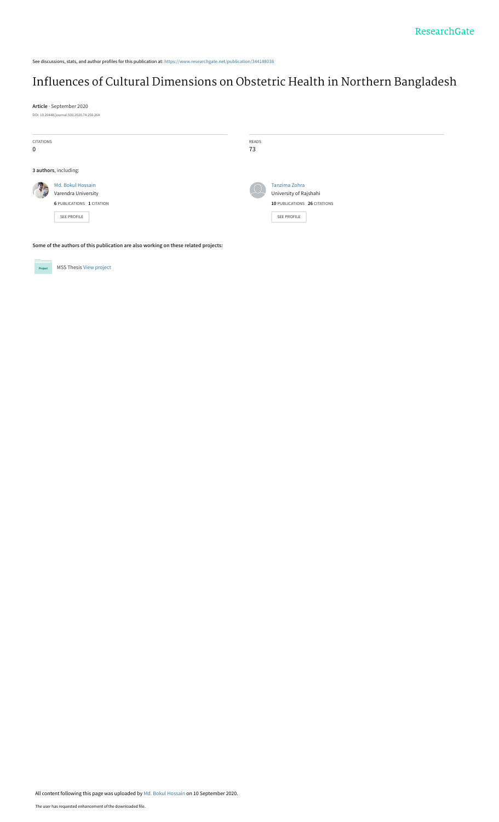See discussions, stats, and author profiles for this publication at: [https://www.researchgate.net/publication/344188038](https://www.researchgate.net/publication/344188038_Influences_of_Cultural_Dimensions_on_Obstetric_Health_in_Northern_Bangladesh?enrichId=rgreq-be6da867d5e1ef929fd0ebd9b64fdaca-XXX&enrichSource=Y292ZXJQYWdlOzM0NDE4ODAzODtBUzo5MzQxMDg4NzIwNTY4MzNAMTU5OTcyMDMxODg2OQ%3D%3D&el=1_x_2&_esc=publicationCoverPdf)

# [Influences of Cultural Dimensions on Obstetric Health in Northern Bangladesh](https://www.researchgate.net/publication/344188038_Influences_of_Cultural_Dimensions_on_Obstetric_Health_in_Northern_Bangladesh?enrichId=rgreq-be6da867d5e1ef929fd0ebd9b64fdaca-XXX&enrichSource=Y292ZXJQYWdlOzM0NDE4ODAzODtBUzo5MzQxMDg4NzIwNTY4MzNAMTU5OTcyMDMxODg2OQ%3D%3D&el=1_x_3&_esc=publicationCoverPdf)

**Article** · September 2020 DOI: 10.20448/journal.500.2020.74.258.264

| CITATIONS<br>0 |                                                                                             | READS<br>73 |                                                                                               |
|----------------|---------------------------------------------------------------------------------------------|-------------|-----------------------------------------------------------------------------------------------|
|                | 3 authors, including:                                                                       |             |                                                                                               |
| Thur           | Md. Bokul Hossain<br>Varendra University<br><b>6 PUBLICATIONS 1 CITATION</b><br>SEE PROFILE |             | Tanzima Zohra<br>University of Rajshahi<br>10 PUBLICATIONS 26 CITATIONS<br><b>SEE PROFILE</b> |

**Some of the authors of this publication are also working on these related projects:**



Project MSS Thesis [View project](https://www.researchgate.net/project/MSS-Thesis-3?enrichId=rgreq-be6da867d5e1ef929fd0ebd9b64fdaca-XXX&enrichSource=Y292ZXJQYWdlOzM0NDE4ODAzODtBUzo5MzQxMDg4NzIwNTY4MzNAMTU5OTcyMDMxODg2OQ%3D%3D&el=1_x_9&_esc=publicationCoverPdf)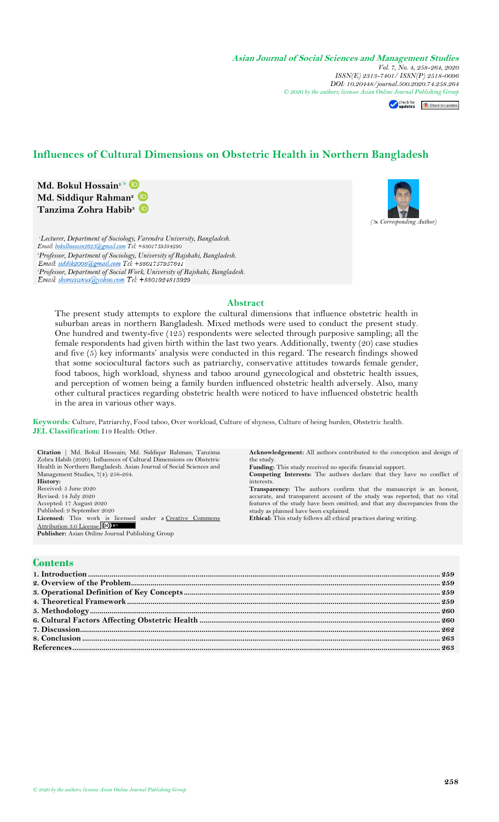**Asian Journal of Social Sciences and Management Studies** *Vol. 7, No. 4, 258-264, 2020 ISSN(E) 2313-7401/ ISSN(P) 2518-0096 DOI: 10.20448/journal.500.2020.74.258.264 © 2020 by the authors; licensee Asian Onl[ine Journal P](https://www.asianonlinejournals.com/index.php/AJSSMS/article/view/2118)[ublishing Group](http://crossmark.crossref.org/dialog/?doi=10.20448/journal.500.2020.74.258.264&domain=pdf&date_stamp=2017-01-14)*

Check for Check for updates

## **Influences of Cultural Dimensions on Obstetric Health in Northern Bangladesh**

**Md. Bokul Hossain<sup>1</sup> Md. Siddiqur Rahman<sup>2</sup> Tanzima Zohra Habib<sup>3</sup>** *( Corresponding Author)*

*<sup>1</sup>Lecturer, Department of Sociology, Varendra University, Bangladesh. <sup>2</sup>Professor, Department of Sociology, University of Rajshahi, Bangladesh. <sup>3</sup>Professor, Department of Social Work, University of Rajshahi, Bangladesh.*

#### **Abstract**

The present study attempts to explore the cultural dimensions that influence obstetric health in suburban areas in northern Bangladesh. Mixed methods were used to conduct the present study. One hundred and twenty-five (125) respondents were selected through purposive sampling; all the female respondents had given birth within the last two years. Additionally, twenty (20) case studies and five (5) key informants' analysis were conducted in this regard. The research findings showed that some sociocultural factors such as patriarchy, conservative attitudes towards female gender, food taboos, high workload, shyness and taboo around gynecological and obstetric health issues, and perception of women being a family burden influenced obstetric health adversely. Also, many other cultural practices regarding obstetric health were noticed to have influenced obstetric health in the area in various other ways.

**Keywords:** Culture, Patriarchy, Food taboo, Over workload, Culture of shyness, Culture of being burden, Obstetric health. **JEL Classification:** I19 Health: Other.

**Citation** | Md. Bokul Hossain; Md. Siddiqur Rahman; Tanzima Zohra Habib (2020). Influences of Cultural Dimensions on Obstetric Health in Northern Bangladesh. Asian Journal of Social Sciences and Management Studies, 7(4): 258-264. **History:** Received: 5 June 2020 Revised: 14 July 2020 Accepted: 17 August 2020 Published: 9 September 2020 **Licensed:** This work is licensed under a Creative Commons [Attribution 3.0 License](http://creativecommons.org/licenses/by/3.0/)<sup>(cc)</sup> **Publisher:** Asian Online Journal Publishing Group

**Acknowledgement:** All authors contributed to the conception and design of the study.

**Funding:** This study received no specific financial support.

**Competing Interests:** The authors declare that they have no conflict of interests.

**Transparency:** The authors confirm that the manuscript is an honest, accurate, and transparent account of the study was reported; that no vital features of the study have been omitted; and that any discrepancies from the study as planned have been explained. **Ethical:** This study follows all ethical practices during writing.

#### **Contents**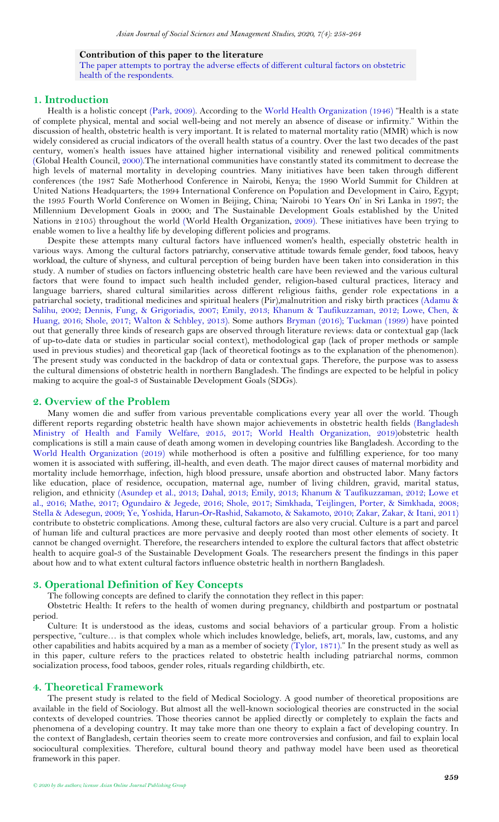#### **Contribution of this paper to the literature**

The paper attempts to portray the adverse effects of different cultural factors on obstetric health of the respondents.

## <span id="page-2-0"></span>**1. Introduction**

Health is a holistic concept [\(Park, 2009\)](#page-7-0). According to the [World Health Organization \(1946\)](#page-7-1) "Health is a state of complete physical, mental and social well-being and not merely an absence of disease or infirmity." Within the discussion of health, obstetric health is very important. It is related to maternal mortality ratio (MMR) which is now widely considered as crucial indicators of the overall health status of a country. Over the last two decades of the past century, women's health issues have attained higher international visibility and renewed political commitments [\(Global Health Council,](#page-7-2) 2000).The international communities have constantly stated its commitment to decrease the high levels of maternal mortality in developing countries. Many initiatives have been taken through different conferences (the 1987 Safe Motherhood Conference in Nairobi, Kenya; the 1990 World Summit for Children at United Nations Headquarters; the 1994 International Conference on Population and Development in Cairo, Egypt; the 1995 Fourth World Conference on Women in Beijing, China; 'Nairobi 10 Years On' in Sri Lanka in 1997; the Millennium Development Goals in 2000; and The Sustainable Development Goals established by the United Nations in 2105) throughout the world [\(World Health Organization,](#page-7-3) 2009). These initiatives have been trying to enable women to live a healthy life by developing different policies and programs.

Despite these attempts many cultural factors have influenced women's health, especially obstetric health in various ways. Among the cultural factors patriarchy, conservative attitude towards female gender, food taboos, heavy workload, the culture of shyness, and cultural perception of being burden have been taken into consideration in this study. A number of studies on factors influencing obstetric health care have been reviewed and the various cultural factors that were found to impact such health included gender, religion-based cultural practices, literacy and language barriers, shared cultural similarities across different religious faiths, gender role expectations in a patriarchal society, traditional medicines and spiritual healers (Pir),malnutrition and risky birth practices [\(Adamu &](#page-6-2)  [Salihu, 2002;](#page-6-2) [Dennis, Fung, & Grigoriadis, 2007;](#page-7-4) [Emily, 2013;](#page-7-5) [Khanum & Taufikuzzaman, 2012;](#page-7-6) [Lowe, Chen, &](#page-7-7)  [Huang, 2016;](#page-7-7) [Shole, 2017;](#page-7-8) [Walton & Schbley, 2013\)](#page-7-9). Some authors [Bryman \(2016\)](#page-7-10); [Tuckman \(1999\)](#page-7-11) have pointed out that generally three kinds of research gaps are observed through literature reviews: data or contextual gap (lack of up-to-date data or studies in particular social context), methodological gap (lack of proper methods or sample used in previous studies) and theoretical gap (lack of theoretical footings as to the explanation of the phenomenon). The present study was conducted in the backdrop of data or contextual gaps. Therefore, the purpose was to assess the cultural dimensions of obstetric health in northern Bangladesh. The findings are expected to be helpful in policy making to acquire the goal-3 of Sustainable Development Goals (SDGs).

#### <span id="page-2-1"></span>**2. Overview of the Problem**

Many women die and suffer from various preventable complications every year all over the world. Though different reports regarding obstetric health have shown major achievements in obstetric health fields [\(Bangladesh](#page-6-3)  [Ministry of Health and Family Welfare, 2015,](#page-6-3) [2017;](#page-6-4) [World Health Organization, 2019\)](#page-7-12)obstetric health complications is still a main cause of death among women in developing countries like Bangladesh. According to the [World Health Organization \(2019\)](#page-7-12) while motherhood is often a positive and fulfilling experience, for too many women it is associated with suffering, ill-health, and even death. The major direct causes of maternal morbidity and mortality include hemorrhage, infection, high blood pressure, unsafe abortion and obstructed labor. Many factors like education, place of residence, occupation, maternal age, number of living children, gravid, marital status, religion, and ethnicity [\(Asundep et al., 2013;](#page-6-5) [Dahal, 2013;](#page-7-13) [Emily, 2013;](#page-7-5) [Khanum & Taufikuzzaman, 2012;](#page-7-6) [Lowe et](#page-7-7)  [al., 2016;](#page-7-7) [Mathe, 2017;](#page-7-14) [Ogundairo & Jegede, 2016;](#page-7-15) [Shole, 2017;](#page-7-8) [Simkhada, Teijlingen, Porter, & Simkhada, 2008;](#page-7-16) [Stella & Adesegun, 2009;](#page-7-17) [Ye, Yoshida, Harun-Or-Rashid, Sakamoto, & Sakamoto, 2010;](#page-7-18) [Zakar, Zakar, & Itani, 2011\)](#page-7-19) contribute to obstetric complications. Among these, cultural factors are also very crucial. Culture is a part and parcel of human life and cultural practices are more pervasive and deeply rooted than most other elements of society. It cannot be changed overnight. Therefore, the researchers intended to explore the cultural factors that affect obstetric health to acquire goal-3 of the Sustainable Development Goals. The researchers present the findings in this paper about how and to what extent cultural factors influence obstetric health in northern Bangladesh.

## <span id="page-2-2"></span>**3. Operational Definition of Key Concepts**

The following concepts are defined to clarify the connotation they reflect in this paper:

Obstetric Health: It refers to the health of women during pregnancy, childbirth and postpartum or postnatal period.

Culture: It is understood as the ideas, customs and social behaviors of a particular group. From a holistic perspective, "culture… is that complex whole which includes knowledge, beliefs, art, morals, law, customs, and any other capabilities and habits acquired by a man as a member of society [\(Tylor, 1871\)](#page-7-20)." In the present study as well as in this paper, culture refers to the practices related to obstetric health including patriarchal norms, common socialization process, food taboos, gender roles, rituals regarding childbirth, etc.

#### <span id="page-2-3"></span>**4. Theoretical Framework**

The present study is related to the field of Medical Sociology. A good number of theoretical propositions are available in the field of Sociology. But almost all the well-known sociological theories are constructed in the social contexts of developed countries. Those theories cannot be applied directly or completely to explain the facts and phenomena of a developing country. It may take more than one theory to explain a fact of developing country. In the context of Bangladesh, certain theories seem to create more controversies and confusion, and fail to explain local sociocultural complexities. Therefore, cultural bound theory and pathway model have been used as theoretical framework in this paper.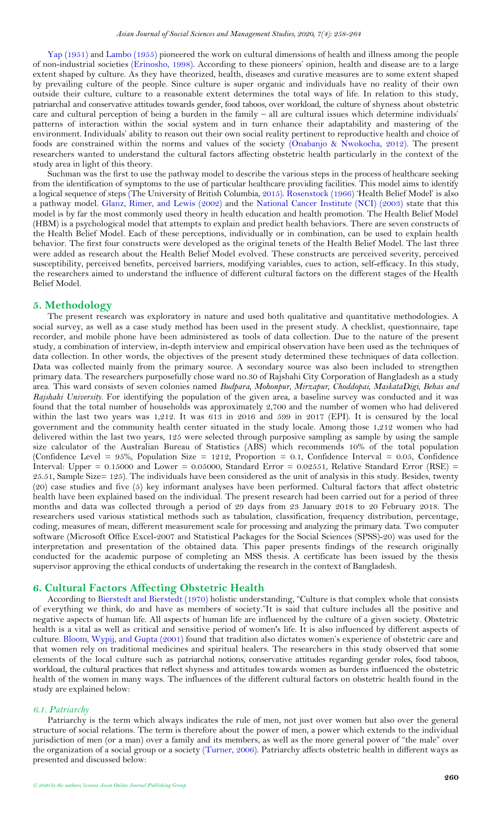[Yap \(1951\)](#page-7-21) and [Lambo \(1955\)](#page-7-22) pioneered the work on cultural dimensions of health and illness among the people of non-industrial societies [\(Erinosho, 1998\)](#page-7-23). According to these pioneers' opinion, health and disease are to a large extent shaped by culture. As they have theorized, health, diseases and curative measures are to some extent shaped by prevailing culture of the people. Since culture is super organic and individuals have no reality of their own outside their culture, culture to a reasonable extent determines the total ways of life. In relation to this study, patriarchal and conservative attitudes towards gender, food taboos, over workload, the culture of shyness about obstetric care and cultural perception of being a burden in the family – all are cultural issues which determine individuals' patterns of interaction within the social system and in turn enhance their adaptability and mastering of the environment. Individuals' ability to reason out their own social reality pertinent to reproductive health and choice of foods are constrained within the norms and values of the society [\(Onabanjo & Nwokocha, 2012\)](#page-7-24). The present researchers wanted to understand the cultural factors affecting obstetric health particularly in the context of the study area in light of this theory.

Suchman was the first to use the pathway model to describe the various steps in the process of healthcare seeking from the identification of symptoms to the use of particular healthcare providing facilities. This model aims to identify a logical sequence of steps [\(The University of British Columbia, 2015\)](#page-7-25)[. Rosenstock \(1966\)](#page-7-26) 'Health Belief Model' is also a pathway model. [Glanz, Rimer, and Lewis \(2002\)](#page-7-27) and the [National Cancer Institute \(NCI\) \(2003\)](#page-7-28) state that this model is by far the most commonly used theory in health education and health promotion. The Health Belief Model (HBM) is a psychological model that attempts to explain and predict health behaviors. There are seven constructs of the Health Belief Model. Each of these perceptions, individually or in combination, can be used to explain health behavior. The first four constructs were developed as the original tenets of the Health Belief Model. The last three were added as research about the Health Belief Model evolved. These constructs are perceived severity, perceived susceptibility, perceived benefits, perceived barriers, modifying variables, cues to action, self-efficacy. In this study, the researchers aimed to understand the influence of different cultural factors on the different stages of the Health Belief Model.

## <span id="page-3-0"></span>**5. Methodology**

The present research was exploratory in nature and used both qualitative and quantitative methodologies. A social survey, as well as a case study method has been used in the present study. A checklist, questionnaire, tape recorder, and mobile phone have been administered as tools of data collection. Due to the nature of the present study, a combination of interview, in-depth interview and empirical observation have been used as the techniques of data collection. In other words, the objectives of the present study determined these techniques of data collection. Data was collected mainly from the primary source. A secondary source was also been included to strengthen primary data. The researchers purposefully chose ward no.30 of Rajshahi City Corporation of Bangladesh as a study area. This ward consists of seven colonies named *Budpara, Mohonpur, Mirzapur, Choddopai, MaskataDigi, Behas and Rajshahi University*. For identifying the population of the given area, a baseline survey was conducted and it was found that the total number of households was approximately 2,700 and the number of women who had delivered within the last two years was 1,212. It was 613 in 2016 and 599 in 2017 (EPI). It is censured by the local government and the community health center situated in the study locale. Among those 1,212 women who had delivered within the last two years, 125 were selected through purposive sampling as sample by using the sample size calculator of the Australian Bureau of Statistics (ABS) which recommends 10% of the total population (Confidence Level =  $95\%$ , Population Size = 1212, Proportion = 0.1, Confidence Interval = 0.05, Confidence Interval: Upper = 0.15000 and Lower = 0.05000, Standard Error = 0.02551, Relative Standard Error (RSE) = 25.51, Sample Size= 125). The individuals have been considered as the unit of analysis in this study. Besides, twenty (20) case studies and five (5) key informant analyses have been performed. Cultural factors that affect obstetric health have been explained based on the individual. The present research had been carried out for a period of three months and data was collected through a period of 29 days from 23 January 2018 to 20 February 2018. The researchers used various statistical methods such as tabulation, classification, frequency distribution, percentage, coding, measures of mean, different measurement scale for processing and analyzing the primary data. Two computer software (Microsoft Office Excel-2007 and Statistical Packages for the Social Sciences (SPSS)-20) was used for the interpretation and presentation of the obtained data. This paper presents findings of the research originally conducted for the academic purpose of completing an MSS thesis. A certificate has been issued by the thesis supervisor approving the ethical conducts of undertaking the research in the context of Bangladesh.

#### <span id="page-3-1"></span>**6. Cultural Factors Affecting Obstetric Health**

According to [Bierstedt and Bierstedt \(1970\)](#page-6-6) holistic understanding, "Culture is that complex whole that consists of everything we think, do and have as members of society."It is said that culture includes all the positive and negative aspects of human life. All aspects of human life are influenced by the culture of a given society. Obstetric health is a vital as well as critical and sensitive period of women's life. It is also influenced by different aspects of culture. [Bloom, Wypij, and Gupta \(2001\)](#page-7-29) found that tradition also dictates women's experience of obstetric care and that women rely on traditional medicines and spiritual healers. The researchers in this study observed that some elements of the local culture such as patriarchal notions, conservative attitudes regarding gender roles, food taboos, workload, the cultural practices that reflect shyness and attitudes towards women as burdens influenced the obstetric health of the women in many ways. The influences of the different cultural factors on obstetric health found in the study are explained below:

#### *6.1. Patriarchy*

Patriarchy is the term which always indicates the rule of men, not just over women but also over the general structure of social relations. The term is therefore about the power of men, a power which extends to the individual jurisdiction of men (or a man) over a family and its members, as well as the more general power of "the male" over the organization of a social group or a society [\(Turner, 2006\)](#page-7-30). Patriarchy affects obstetric health in different ways as presented and discussed below: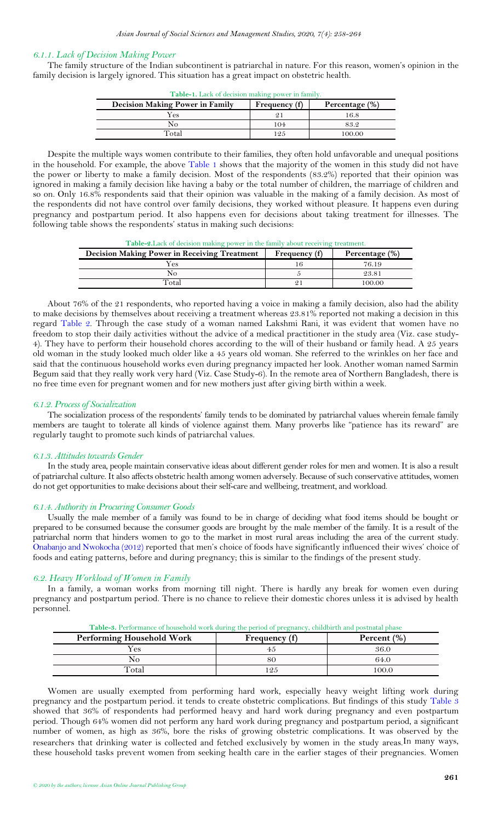#### *6.1.1. Lack of Decision Making Power*

<span id="page-4-0"></span>The family structure of the Indian subcontinent is patriarchal in nature. For this reason, women's opinion in the family decision is largely ignored. This situation has a great impact on obstetric health.

| Table-1. Lack of decision making power in family. |               |                |  |
|---------------------------------------------------|---------------|----------------|--|
| <b>Decision Making Power in Family</b>            | Frequency (f) | Percentage (%) |  |
| Yes                                               |               | 16.8           |  |
| Nο                                                | 104           | 83.2           |  |
| Total                                             | 125           | 100.00         |  |

Despite the multiple ways women contribute to their families, they often hold unfavorable and unequal positions in the household. For example, the above [Table](#page-4-0) 1 shows that the majority of the women in this study did not have the power or liberty to make a family decision. Most of the respondents (83.2%) reported that their opinion was ignored in making a family decision like having a baby or the total number of children, the marriage of children and so on. Only 16.8% respondents said that their opinion was valuable in the making of a family decision. As most of the respondents did not have control over family decisions, they worked without pleasure. It happens even during pregnancy and postpartum period. It also happens even for decisions about taking treatment for illnesses. The following table shows the respondents' status in making such decisions:

<span id="page-4-1"></span>

| <b>Table-2.</b> Lack of decision making power in the family about receiving treatment. |               |                |  |
|----------------------------------------------------------------------------------------|---------------|----------------|--|
| <b>Decision Making Power in Receiving Treatment</b>                                    | Frequency (f) | Percentage (%) |  |
| Yes                                                                                    |               | 76.19          |  |
| No                                                                                     |               | 23.81          |  |

Total 21 100.00

About 76% of the 21 respondents, who reported having a voice in making a family decision, also had the ability to make decisions by themselves about receiving a treatment whereas 23.81% reported not making a decision in this regard [Table](#page-4-1) 2. Through the case study of a woman named Lakshmi Rani*,* it was evident that women have no freedom to stop their daily activities without the advice of a medical practitioner in the study area (Viz. case study-4). They have to perform their household chores according to the will of their husband or family head. A 25 years old woman in the study looked much older like a 45 years old woman. She referred to the wrinkles on her face and said that the continuous household works even during pregnancy impacted her look. Another woman named Sarmin Begum said that they really work very hard (Viz. Case Study-6). In the remote area of Northern Bangladesh, there is no free time even for pregnant women and for new mothers just after giving birth within a week.

#### *6.1.2. Process of Socialization*

The socialization process of the respondents' family tends to be dominated by patriarchal values wherein female family members are taught to tolerate all kinds of violence against them. Many proverbs like "patience has its reward" are regularly taught to promote such kinds of patriarchal values.

#### *6.1.3. Attitudes towards Gender*

In the study area, people maintain conservative ideas about different gender roles for men and women. It is also a result of patriarchal culture. It also affects obstetric health among women adversely. Because of such conservative attitudes, women do not get opportunities to make decisions about their self-care and wellbeing, treatment, and workload.

#### *6.1.4. Authority in Procuring Consumer Goods*

Usually the male member of a family was found to be in charge of deciding what food items should be bought or prepared to be consumed because the consumer goods are brought by the male member of the family. It is a result of the patriarchal norm that hinders women to go to the market in most rural areas including the area of the current study. [Onabanjo and Nwokocha \(2012\)](#page-7-24) reported that men's choice of foods have significantly influenced their wives' choice of foods and eating patterns, before and during pregnancy; this is similar to the findings of the present study.

### *6.2. Heavy Workload of Women in Family*

In a family, a woman works from morning till night. There is hardly any break for women even during pregnancy and postpartum period. There is no chance to relieve their domestic chores unless it is advised by health personnel.

<span id="page-4-2"></span>

| <b>Table-3.</b> I chorinance of household work during the period of pregnancy, childbirth and postuatal phase<br>Performing Household Work<br>Percent $(\%)$<br>Frequency (f) |    |       |  |
|-------------------------------------------------------------------------------------------------------------------------------------------------------------------------------|----|-------|--|
| $\rm Yes$                                                                                                                                                                     | 45 | 36.0  |  |
|                                                                                                                                                                               | 80 | 64.0  |  |
| Total                                                                                                                                                                         | 25 | 100.0 |  |

**Table-3.** Performance of household work during the period of pregnancy, childbirth and postnatal phase

Women are usually exempted from performing hard work, especially heavy weight lifting work during pregnancy and the postpartum period. it tends to create obstetric complications. But findings of this study [Table](#page-4-2) 3 showed that 36% of respondents had performed heavy and hard work during pregnancy and even postpartum period. Though 64% women did not perform any hard work during pregnancy and postpartum period, a significant number of women, as high as 36%, bore the risks of growing obstetric complications. It was observed by the researchers that drinking water is collected and fetched exclusively by women in the study areas.In many ways, these household tasks prevent women from seeking health care in the earlier stages of their pregnancies. Women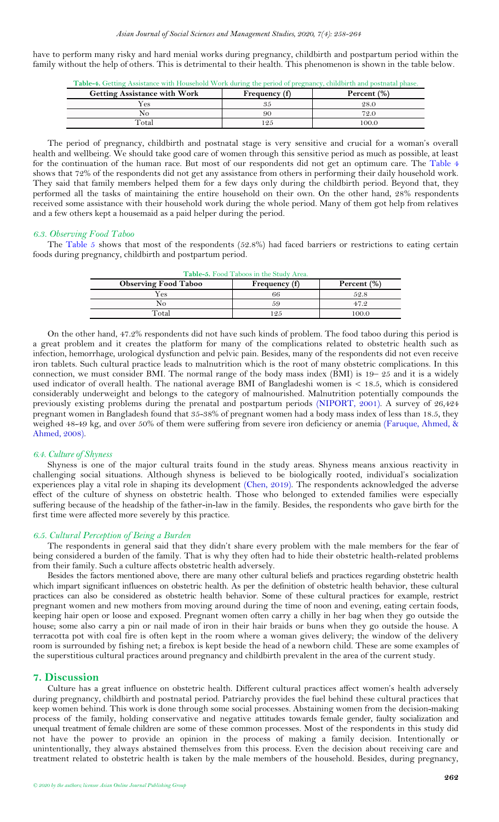<span id="page-5-1"></span>have to perform many risky and hard menial works during pregnancy, childbirth and postpartum period within the family without the help of others. This is detrimental to their health. This phenomenon is shown in the table below.

| Table-4. Getting Assistance with Household Work during the period of pregnancy, childbirth and postnatal phase. |  |  |  |
|-----------------------------------------------------------------------------------------------------------------|--|--|--|
|                                                                                                                 |  |  |  |

| <b>Getting Assistance with Work</b> | Frequency (f) | Percent $(\%)$ |
|-------------------------------------|---------------|----------------|
| 7es                                 |               | 28.0           |
| NO                                  | 90            | 72.0           |
| Total                               | 125           | 00.0           |

The period of pregnancy, childbirth and postnatal stage is very sensitive and crucial for a woman's overall health and wellbeing. We should take good care of women through this sensitive period as much as possible, at least for the continuation of the human race. But most of our respondents did not get an optimum care. The [Table 4](#page-5-1) shows that 72% of the respondents did not get any assistance from others in performing their daily household work. They said that family members helped them for a few days only during the childbirth period. Beyond that, they performed all the tasks of maintaining the entire household on their own. On the other hand, 28% respondents received some assistance with their household work during the whole period. Many of them got help from relatives and a few others kept a housemaid as a paid helper during the period.

#### *6.3. Observing Food Taboo*

<span id="page-5-2"></span>The [Table](#page-5-2) 5 shows that most of the respondents (52.8%) had faced barriers or restrictions to eating certain foods during pregnancy, childbirth and postpartum period.

| Table-5. Food Taboos in the Study Area. |               |                |  |
|-----------------------------------------|---------------|----------------|--|
| <b>Observing Food Taboo</b>             | Frequency (f) | Percent $(\%)$ |  |
| Yes                                     | 66            | 52.8           |  |
| No                                      | 59            | 47.2           |  |
| Total                                   | 125           | 100.0          |  |

On the other hand, 47.2% respondents did not have such kinds of problem. The food taboo during this period is a great problem and it creates the platform for many of the complications related to obstetric health such as infection, hemorrhage, urological dysfunction and pelvic pain. Besides, many of the respondents did not even receive iron tablets. Such cultural practice leads to malnutrition which is the root of many obstetric complications. In this connection, we must consider BMI. The normal range of the body mass index (BMI) is 19-25 and it is a widely used indicator of overall health. The national average BMI of Bangladeshi women is < 18.5, which is considered considerably underweight and belongs to the category of malnourished. Malnutrition potentially compounds the previously existing problems during the prenatal and postpartum periods [\(NIPORT, 2001\)](#page-7-31). A survey of 26,424 pregnant women in Bangladesh found that 35-38% of pregnant women had a body mass index of less than 18.5, they weighed 48-49 kg, and over 50% of them were suffering from severe iron deficiency or anemia [\(Faruque, Ahmed, &](#page-7-32)  [Ahmed, 2008\)](#page-7-32).

#### *6.4. Culture of Shyness*

Shyness is one of the major cultural traits found in the study areas. Shyness means anxious reactivity in challenging social situations. Although shyness is believed to be biologically rooted, individual's socialization experiences play a vital role in shaping its development [\(Chen, 2019\)](#page-7-33). The respondents acknowledged the adverse effect of the culture of shyness on obstetric health. Those who belonged to extended families were especially suffering because of the headship of the father-in-law in the family. Besides, the respondents who gave birth for the first time were affected more severely by this practice.

#### *6.5. Cultural Perception of Being a Burden*

The respondents in general said that they didn't share every problem with the male members for the fear of being considered a burden of the family. That is why they often had to hide their obstetric health-related problems from their family. Such a culture affects obstetric health adversely.

Besides the factors mentioned above, there are many other cultural beliefs and practices regarding obstetric health which impart significant influences on obstetric health. As per the definition of obstetric health behavior, these cultural practices can also be considered as obstetric health behavior. Some of these cultural practices for example, restrict pregnant women and new mothers from moving around during the time of noon and evening, eating certain foods, keeping hair open or loose and exposed. Pregnant women often carry a chilly in her bag when they go outside the house; some also carry a pin or nail made of iron in their hair braids or buns when they go outside the house. A terracotta pot with coal fire is often kept in the room where a woman gives delivery; the window of the delivery room is surrounded by fishing net; a firebox is kept beside the head of a newborn child. These are some examples of the superstitious cultural practices around pregnancy and childbirth prevalent in the area of the current study.

#### <span id="page-5-0"></span>**7. Discussion**

Culture has a great influence on obstetric health. Different cultural practices affect women's health adversely during pregnancy, childbirth and postnatal period. Patriarchy provides the fuel behind these cultural practices that keep women behind. This work is done through some social processes. Abstaining women from the decision-making process of the family, holding conservative and negative attitudes towards female gender, faulty socialization and unequal treatment of female children are some of these common processes. Most of the respondents in this study did not have the power to provide an opinion in the process of making a family decision. Intentionally or unintentionally, they always abstained themselves from this process. Even the decision about receiving care and treatment related to obstetric health is taken by the male members of the household. Besides, during pregnancy,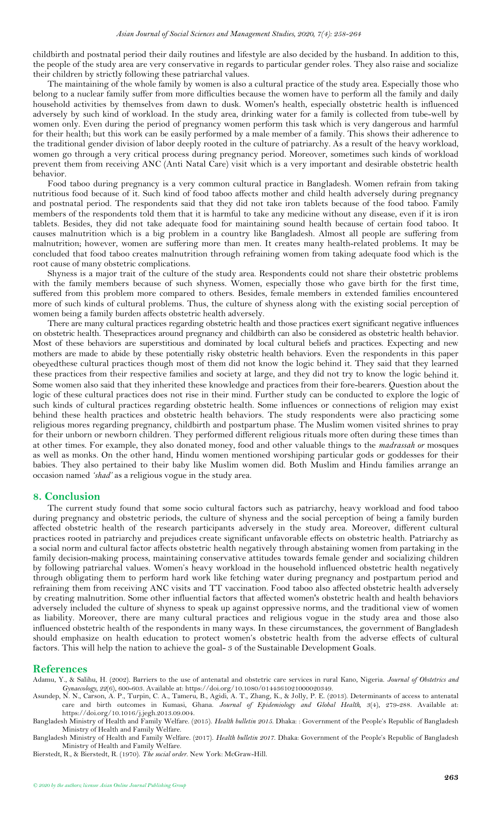childbirth and postnatal period their daily routines and lifestyle are also decided by the husband. In addition to this, the people of the study area are very conservative in regards to particular gender roles. They also raise and socialize their children by strictly following these patriarchal values.

The maintaining of the whole family by women is also a cultural practice of the study area. Especially those who belong to a nuclear family suffer from more difficulties because the women have to perform all the family and daily household activities by themselves from dawn to dusk. Women's health, especially obstetric health is influenced adversely by such kind of workload. In the study area, drinking water for a family is collected from tube-well by women only. Even during the period of pregnancy women perform this task which is very dangerous and harmful for their health; but this work can be easily performed by a male member of a family. This shows their adherence to the traditional gender division of labor deeply rooted in the culture of patriarchy. As a result of the heavy workload, women go through a very critical process during pregnancy period. Moreover, sometimes such kinds of workload prevent them from receiving ANC (Anti Natal Care) visit which is a very important and desirable obstetric health behavior.

Food taboo during pregnancy is a very common cultural practice in Bangladesh. Women refrain from taking nutritious food because of it. Such kind of food taboo affects mother and child health adversely during pregnancy and postnatal period. The respondents said that they did not take iron tablets because of the food taboo. Family members of the respondents told them that it is harmful to take any medicine without any disease, even if it is iron tablets. Besides, they did not take adequate food for maintaining sound health because of certain food taboo. It causes malnutrition which is a big problem in a country like Bangladesh. Almost all people are suffering from malnutrition; however, women are suffering more than men. It creates many health-related problems. It may be concluded that food taboo creates malnutrition through refraining women from taking adequate food which is the root cause of many obstetric complications.

Shyness is a major trait of the culture of the study area. Respondents could not share their obstetric problems with the family members because of such shyness. Women, especially those who gave birth for the first time, suffered from this problem more compared to others. Besides, female members in extended families encountered more of such kinds of cultural problems. Thus, the culture of shyness along with the existing social perception of women being a family burden affects obstetric health adversely.

There are many cultural practices regarding obstetric health and those practices exert significant negative influences on obstetric health. Thesepractices around pregnancy and childbirth can also be considered as obstetric health behavior. Most of these behaviors are superstitious and dominated by local cultural beliefs and practices. Expecting and new mothers are made to abide by these potentially risky obstetric health behaviors. Even the respondents in this paper obeyedthese cultural practices though most of them did not know the logic behind it. They said that they learned these practices from their respective families and society at large, and they did not try to know the logic behind it. Some women also said that they inherited these knowledge and practices from their fore-bearers. Question about the logic of these cultural practices does not rise in their mind. Further study can be conducted to explore the logic of such kinds of cultural practices regarding obstetric health. Some influences or connections of religion may exist behind these health practices and obstetric health behaviors. The study respondents were also practicing some religious mores regarding pregnancy, childbirth and postpartum phase. The Muslim women visited shrines to pray for their unborn or newborn children. They performed different religious rituals more often during these times than at other times. For example, they also donated money, food and other valuable things to the *madrassah or* mosques as well as monks. On the other hand, Hindu women mentioned worshiping particular gods or goddesses for their babies. They also pertained to their baby like Muslim women did. Both Muslim and Hindu families arrange an occasion named *'shad'* as a religious vogue in the study area.

#### <span id="page-6-0"></span>**8. Conclusion**

The current study found that some socio cultural factors such as patriarchy, heavy workload and food taboo during pregnancy and obstetric periods, the culture of shyness and the social perception of being a family burden affected obstetric health of the research participants adversely in the study area. Moreover, different cultural practices rooted in patriarchy and prejudices create significant unfavorable effects on obstetric health. Patriarchy as a social norm and cultural factor affects obstetric health negatively through abstaining women from partaking in the family decision-making process, maintaining conservative attitudes towards female gender and socializing children by following patriarchal values. Women's heavy workload in the household influenced obstetric health negatively through obligating them to perform hard work like fetching water during pregnancy and postpartum period and refraining them from receiving ANC visits and TT vaccination. Food taboo also affected obstetric health adversely by creating malnutrition. Some other influential factors that affected women's obstetric health and health behaviors adversely included the culture of shyness to speak up against oppressive norms, and the traditional view of women as liability. Moreover, there are many cultural practices and religious vogue in the study area and those also influenced obstetric health of the respondents in many ways. In these circumstances, the government of Bangladesh should emphasize on health education to protect women's obstetric health from the adverse effects of cultural factors. This will help the nation to achieve the goal- 3 of the Sustainable Development Goals.

#### <span id="page-6-1"></span>**References**

- <span id="page-6-2"></span>Adamu, Y., & Salihu, H. (2002). Barriers to the use of antenatal and obstetric care services in rural Kano, Nigeria. *Journal of Obstetrics and Gynaecology, 22*(6), 600-603. Available at: https://doi.org/10.1080/0144361021000020349.
- <span id="page-6-5"></span>Asundep, N. N., Carson, A. P., Turpin, C. A., Tameru, B., Agidi, A. T., Zhang, K., & Jolly, P. E. (2013). Determinants of access to antenatal care and birth outcomes in Kumasi, Ghana. *Journal of Epidemiology and Global Health, 3*(4), 279-288. Available at: https://doi.org/10.1016/j.jegh.2013.09.004.

<span id="page-6-6"></span>Bierstedt, R., & Bierstedt, R. (1970). *The social order*. New York: McGraw-Hill.

<span id="page-6-3"></span>Bangladesh Ministry of Health and Family Welfare. (2015). *Health bulletin 2015*. Dhaka: : Government of the People's Republic of Bangladesh Ministry of Health and Family Welfare.

<span id="page-6-4"></span>Bangladesh Ministry of Health and Family Welfare. (2017). *Health bulletin 2017*. Dhaka: Government of the People's Republic of Bangladesh Ministry of Health and Family Welfare.